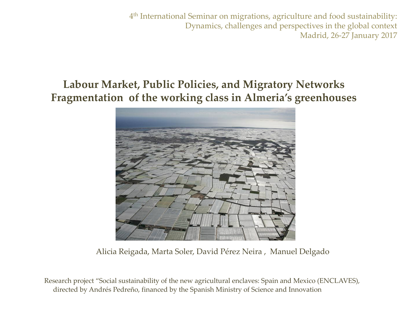4th International Seminar on migrations, agriculture and food sustainability: Dynamics, challenges and perspectives in the global context Madrid, 26-27 January 2017

## **Labour Market, Public Policies, and Migratory Networks Fragmentation of the working class in Almeria's greenhouses**



Alicia Reigada, Marta Soler, David Pérez Neira , Manuel Delgado

Research project "Social sustainability of the new agricultural enclaves: Spain and Mexico (ENCLAVES), directed by Andrés Pedreño, financed by the Spanish Ministry of Science and Innovation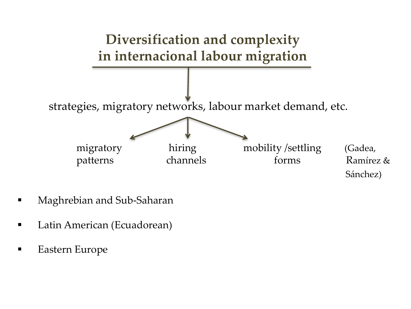

- § Maghrebian and Sub-Saharan
- § Latin American (Ecuadorean)
- § Eastern Europe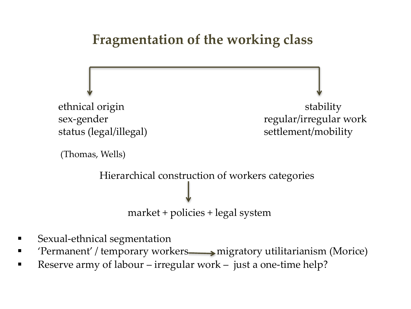## **Fragmentation of the working class**



sex-gender regular/irregular work

```
(Thomas, Wells)
```
Hierarchical construction of workers categories

market + policies + legal system

- Sexual-ethnical segmentation
- 'Permanent' / temporary workers 
igratory utilitarianism (Morice)
- Reserve army of labour irregular work just a one-time help?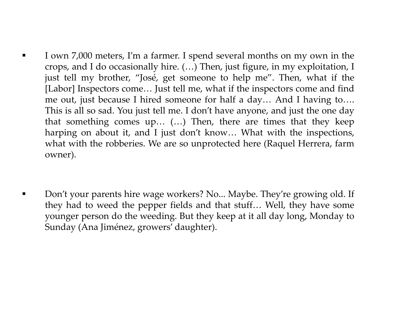- **•** I own 7,000 meters, I'm a farmer. I spend several months on my own in the crops, and I do occasionally hire. (…) Then, just figure, in my exploitation, I just tell my brother, "José, get someone to help me". Then, what if the [Labor] Inspectors come… Just tell me, what if the inspectors come and find me out, just because I hired someone for half a day… And I having to…. This is all so sad. You just tell me. I don't have anyone, and just the one day that something comes up… (…) Then, there are times that they keep harping on about it, and I just don't know... What with the inspections, what with the robberies. We are so unprotected here (Raquel Herrera, farm owner).
- Don't your parents hire wage workers? No... Maybe. They're growing old. If they had to weed the pepper fields and that stuff… Well, they have some younger person do the weeding. But they keep at it all day long, Monday to Sunday (Ana Jiménez, growers' daughter).